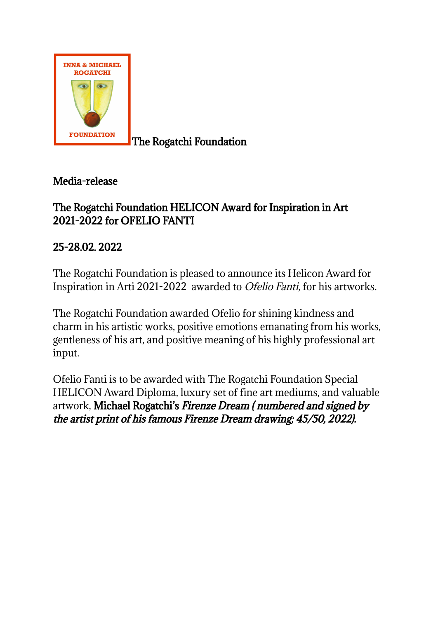

The Rogatchi Foundation

Media-release

## The Rogatchi Foundation HELICON Award for Inspiration in Art 2021-2022 for OFELIO FANTI

25-28.02. 2022

The Rogatchi Foundation is pleased to announce its Helicon Award for Inspiration in Arti 2021-2022 awarded to Ofelio Fanti, for his artworks.

The Rogatchi Foundation awarded Ofelio for shining kindness and charm in his artistic works, positive emotions emanating from his works, gentleness of his art, and positive meaning of his highly professional art input.

Ofelio Fanti is to be awarded with The Rogatchi Foundation Special HELICON Award Diploma, luxury set of fine art mediums, and valuable artwork, Michael Rogatchi's Firenze Dream ( numbered and signed by the artist print of his famous Firenze Dream drawing; 45/50, 2022).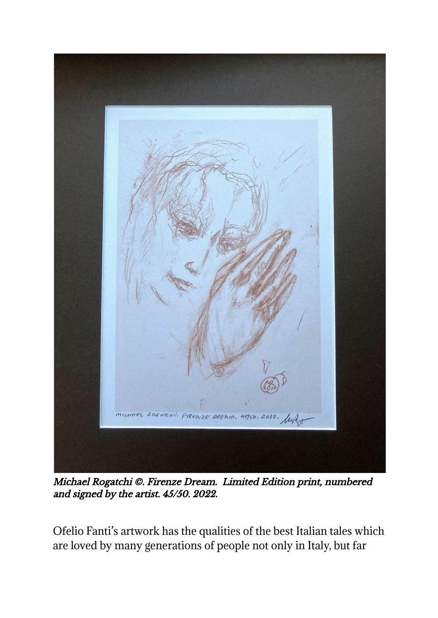

Michael Rogatchi ©. Firenze Dream. Limited Edition print, numbered and signed by the artist. 45/50. 2022.

Ofelio Fanti's artwork has the qualities of the best Italian tales which are loved by many generations of people not only in Italy, but far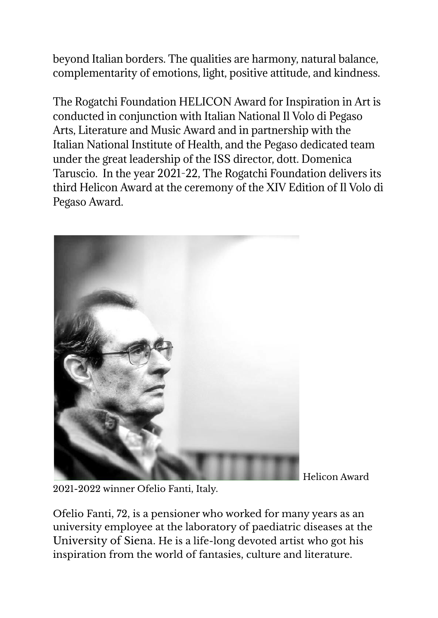beyond Italian borders. The qualities are harmony, natural balance, complementarity of emotions, light, positive attitude, and kindness.

The Rogatchi Foundation HELICON Award for Inspiration in Art is conducted in conjunction with Italian National Il Volo di Pegaso Arts, Literature and Music Award and in partnership with the Italian National Institute of Health, and the Pegaso dedicated team under the great leadership of the ISS director, dott. Domenica Taruscio. In the year 2021-22, The Rogatchi Foundation delivers its third Helicon Award at the ceremony of the XIV Edition of Il Volo di Pegaso Award.



Helicon Award

2021-2022 winner Ofelio Fanti, Italy.

Ofelio Fanti, 72, is a pensioner who worked for many years as an university employee at the laboratory of paediatric diseases at the University of Siena. He is a life-long devoted artist who got his inspiration from the world of fantasies, culture and literature.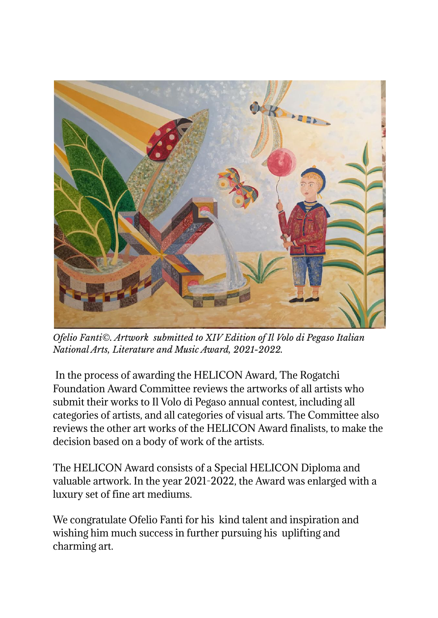

*Ofelio Fanti©. Artwork submitted to XIV Edition of Il Volo di Pegaso Italian National Arts, Literature and Music Award, 2021-2022.*

In the process of awarding the HELICON Award, The Rogatchi Foundation Award Committee reviews the artworks of all artists who submit their works to Il Volo di Pegaso annual contest, including all categories of artists, and all categories of visual arts. The Committee also reviews the other art works of the HELICON Award finalists, to make the decision based on a body of work of the artists.

The HELICON Award consists of a Special HELICON Diploma and valuable artwork. In the year 2021-2022, the Award was enlarged with a luxury set of fine art mediums.

We congratulate Ofelio Fanti for his kind talent and inspiration and wishing him much success in further pursuing his uplifting and charming art.